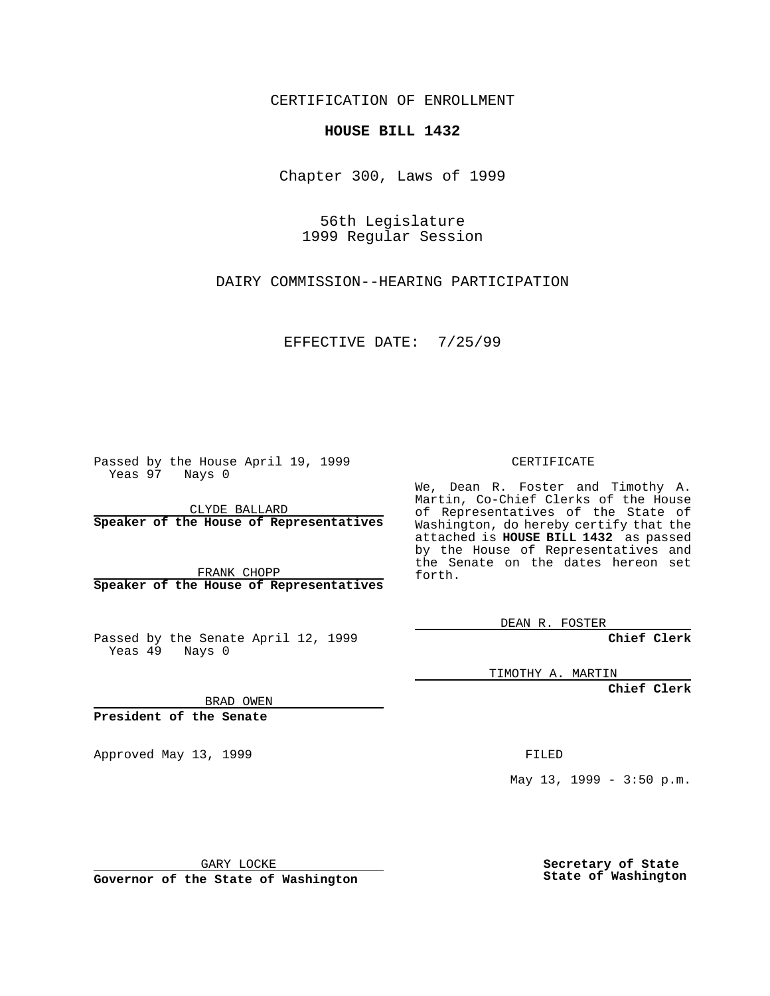CERTIFICATION OF ENROLLMENT

## **HOUSE BILL 1432**

Chapter 300, Laws of 1999

56th Legislature 1999 Regular Session

DAIRY COMMISSION--HEARING PARTICIPATION

EFFECTIVE DATE: 7/25/99

Passed by the House April 19, 1999 Yeas 97 Nays 0

CLYDE BALLARD **Speaker of the House of Representatives**

FRANK CHOPP **Speaker of the House of Representatives**

Passed by the Senate April 12, 1999 Yeas 49 Nays 0

CERTIFICATE

We, Dean R. Foster and Timothy A. Martin, Co-Chief Clerks of the House of Representatives of the State of Washington, do hereby certify that the attached is **HOUSE BILL 1432** as passed by the House of Representatives and the Senate on the dates hereon set forth.

DEAN R. FOSTER

**Chief Clerk**

TIMOTHY A. MARTIN

**Chief Clerk**

BRAD OWEN

**President of the Senate**

Approved May 13, 1999 **FILED** 

May 13, 1999 - 3:50 p.m.

GARY LOCKE

**Governor of the State of Washington**

**Secretary of State State of Washington**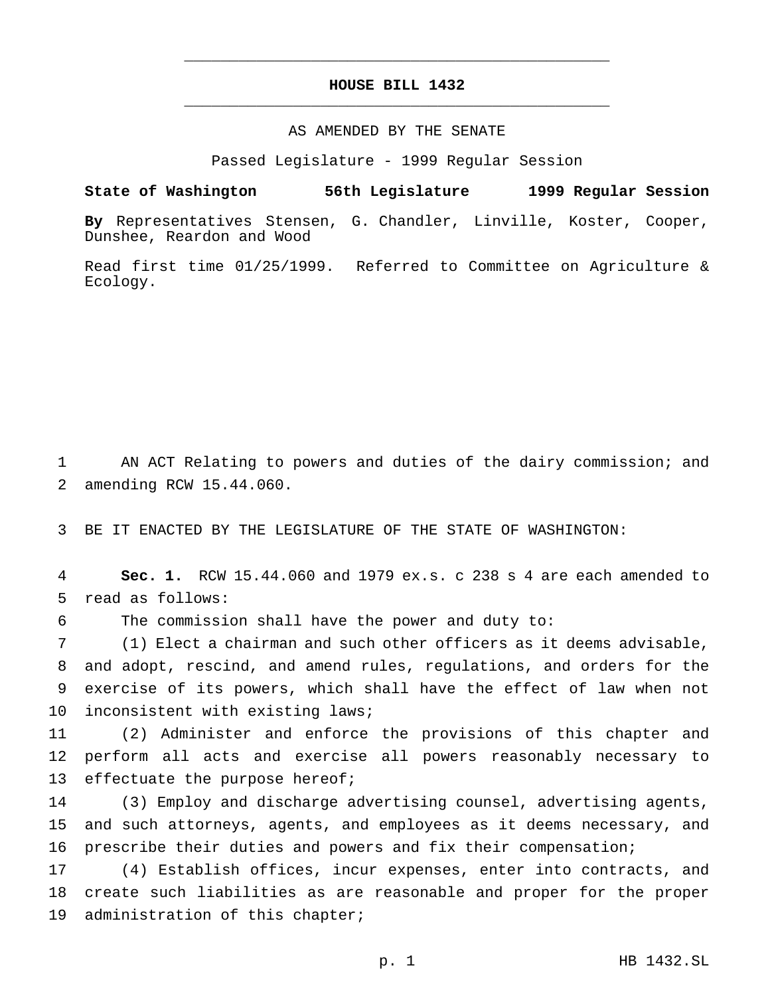## **HOUSE BILL 1432** \_\_\_\_\_\_\_\_\_\_\_\_\_\_\_\_\_\_\_\_\_\_\_\_\_\_\_\_\_\_\_\_\_\_\_\_\_\_\_\_\_\_\_\_\_\_\_

\_\_\_\_\_\_\_\_\_\_\_\_\_\_\_\_\_\_\_\_\_\_\_\_\_\_\_\_\_\_\_\_\_\_\_\_\_\_\_\_\_\_\_\_\_\_\_

## AS AMENDED BY THE SENATE

Passed Legislature - 1999 Regular Session

## **State of Washington 56th Legislature 1999 Regular Session**

**By** Representatives Stensen, G. Chandler, Linville, Koster, Cooper, Dunshee, Reardon and Wood

Read first time 01/25/1999. Referred to Committee on Agriculture & Ecology.

1 AN ACT Relating to powers and duties of the dairy commission; and 2 amending RCW 15.44.060.

3 BE IT ENACTED BY THE LEGISLATURE OF THE STATE OF WASHINGTON:

4 **Sec. 1.** RCW 15.44.060 and 1979 ex.s. c 238 s 4 are each amended to 5 read as follows:

6 The commission shall have the power and duty to:

 (1) Elect a chairman and such other officers as it deems advisable, and adopt, rescind, and amend rules, regulations, and orders for the exercise of its powers, which shall have the effect of law when not inconsistent with existing laws;

11 (2) Administer and enforce the provisions of this chapter and 12 perform all acts and exercise all powers reasonably necessary to 13 effectuate the purpose hereof;

14 (3) Employ and discharge advertising counsel, advertising agents, 15 and such attorneys, agents, and employees as it deems necessary, and 16 prescribe their duties and powers and fix their compensation;

17 (4) Establish offices, incur expenses, enter into contracts, and 18 create such liabilities as are reasonable and proper for the proper 19 administration of this chapter;